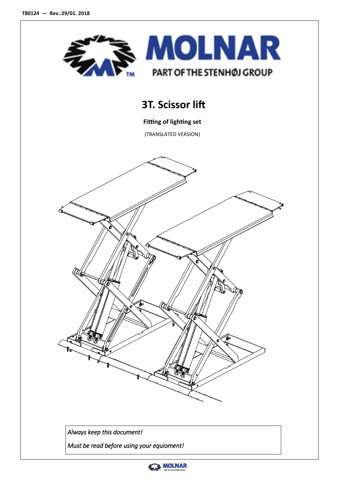

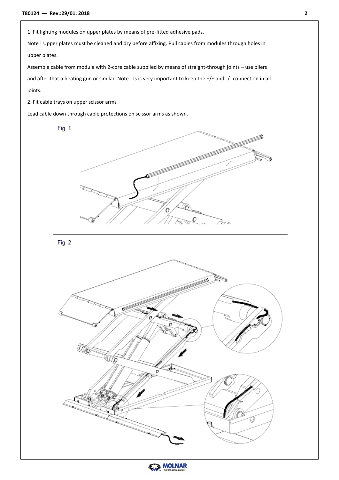1. Fit lighting modules on upper plates by means of pre-fitted adhesive pads.

Note ! Upper plates must be cleaned and dry before affixing. Pull cables from modules through holes in upper plates.

Assemble cable from module with 2-core cable supplied by means of straight-through joints – use pliers and after that a heating gun or similar. Note ! Is is very important to keep the +/+ and -/- connection in all joints.

2. Fit cable trays on upper scissor arms

Lead cable down through cable protections on scissor arms as shown.

Fig. 1



Fig. 2